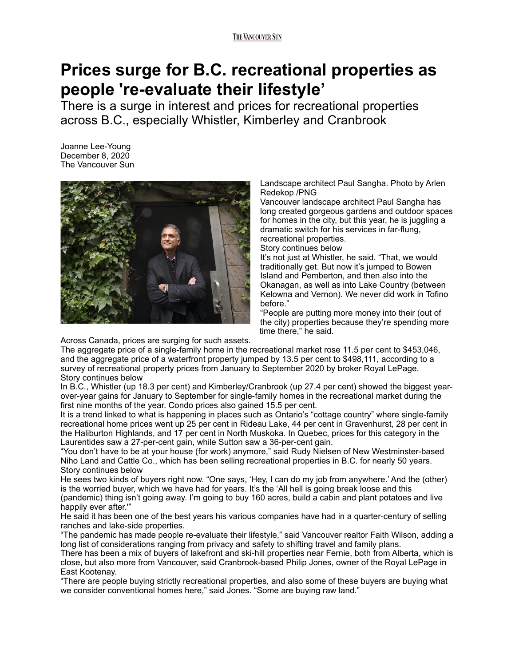## **Prices surge for B.C. recreational properties as people 're-evaluate their lifestyle'**

There is a surge in interest and prices for recreational properties across B.C., especially Whistler, Kimberley and Cranbrook

Joanne Lee-Young December 8, 2020 The Vancouver Sun



Landscape architect Paul Sangha. Photo by Arlen Redekop /PNG

Vancouver landscape architect Paul Sangha has long created gorgeous gardens and outdoor spaces for homes in the city, but this year, he is juggling a dramatic switch for his services in far-flung, recreational properties.

Story continues below

It's not just at Whistler, he said. "That, we would traditionally get. But now it's jumped to Bowen Island and Pemberton, and then also into the Okanagan, as well as into Lake Country (between Kelowna and Vernon). We never did work in Tofino before."

"People are putting more money into their (out of the city) properties because they're spending more time there," he said.

Across Canada, prices are surging for such assets.

The aggregate price of a single-family home in the recreational market rose 11.5 per cent to \$453,046, and the aggregate price of a waterfront property jumped by 13.5 per cent to \$498,111, according to a survey of recreational property prices from January to September 2020 by broker Royal LePage. Story continues below

In B.C., Whistler (up 18.3 per cent) and Kimberley/Cranbrook (up 27.4 per cent) showed the biggest yearover-year gains for January to September for single-family homes in the recreational market during the first nine months of the year. Condo prices also gained 15.5 per cent.

It is a trend linked to what is happening in places such as Ontario's "cottage country" where single-family recreational home prices went up 25 per cent in Rideau Lake, 44 per cent in Gravenhurst, 28 per cent in the Haliburton Highlands, and 17 per cent in North Muskoka. In Quebec, prices for this category in the Laurentides saw a 27-per-cent gain, while Sutton saw a 36-per-cent gain.

"You don't have to be at your house (for work) anymore," said Rudy Nielsen of New Westminster-based Niho Land and Cattle Co., which has been selling recreational properties in B.C. for nearly 50 years. Story continues below

He sees two kinds of buyers right now. "One says, 'Hey, I can do my job from anywhere.' And the (other) is the worried buyer, which we have had for years. It's the 'All hell is going break loose and this (pandemic) thing isn't going away. I'm going to buy 160 acres, build a cabin and plant potatoes and live happily ever after.'"

He said it has been one of the best years his various companies have had in a quarter-century of selling ranches and lake-side properties.

"The pandemic has made people re-evaluate their lifestyle," said Vancouver realtor Faith Wilson, adding a long list of considerations ranging from privacy and safety to shifting travel and family plans.

There has been a mix of buyers of lakefront and ski-hill properties near Fernie, both from Alberta, which is close, but also more from Vancouver, said Cranbrook-based Philip Jones, owner of the Royal LePage in East Kootenay.

"There are people buying strictly recreational properties, and also some of these buyers are buying what we consider conventional homes here," said Jones. "Some are buying raw land."